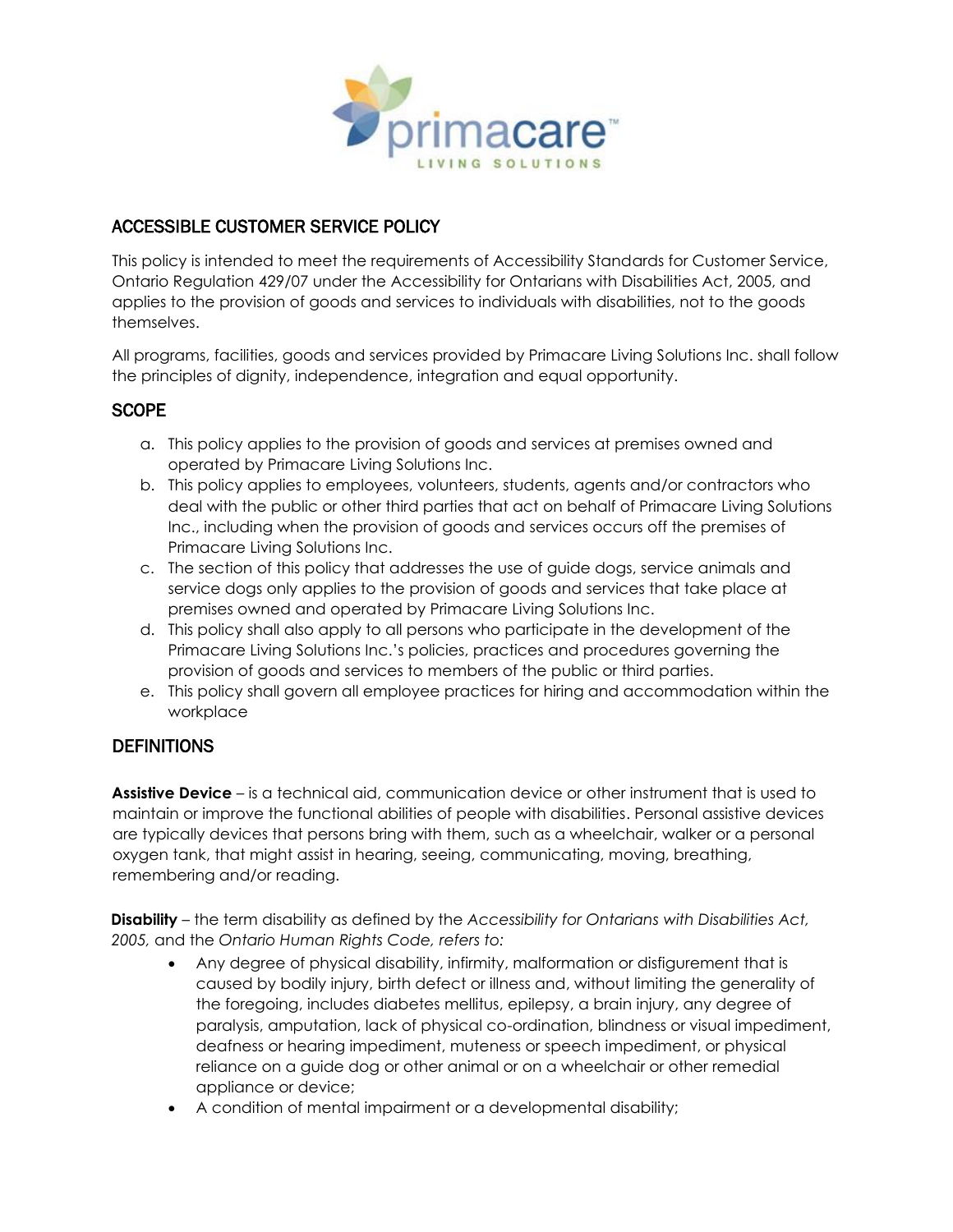

# ACCESSIBLE CUSTOMER SERVICE POLICY

This policy is intended to meet the requirements of Accessibility Standards for Customer Service, Ontario Regulation 429/07 under the Accessibility for Ontarians with Disabilities Act, 2005, and applies to the provision of goods and services to individuals with disabilities, not to the goods themselves.

All programs, facilities, goods and services provided by Primacare Living Solutions Inc. shall follow the principles of dignity, independence, integration and equal opportunity.

# **SCOPE**

- a. This policy applies to the provision of goods and services at premises owned and operated by Primacare Living Solutions Inc.
- b. This policy applies to employees, volunteers, students, agents and/or contractors who deal with the public or other third parties that act on behalf of Primacare Living Solutions Inc., including when the provision of goods and services occurs off the premises of Primacare Living Solutions Inc.
- c. The section of this policy that addresses the use of guide dogs, service animals and service dogs only applies to the provision of goods and services that take place at premises owned and operated by Primacare Living Solutions Inc.
- d. This policy shall also apply to all persons who participate in the development of the Primacare Living Solutions Inc.'s policies, practices and procedures governing the provision of goods and services to members of the public or third parties.
- e. This policy shall govern all employee practices for hiring and accommodation within the workplace

# **DEFINITIONS**

**Assistive Device** – is a technical aid, communication device or other instrument that is used to maintain or improve the functional abilities of people with disabilities. Personal assistive devices are typically devices that persons bring with them, such as a wheelchair, walker or a personal oxygen tank, that might assist in hearing, seeing, communicating, moving, breathing, remembering and/or reading.

**Disability** – the term disability as defined by the *Accessibility for Ontarians with Disabilities Act, 2005,* and the *Ontario Human Rights Code, refers to:*

- Any degree of physical disability, infirmity, malformation or disfigurement that is caused by bodily injury, birth defect or illness and, without limiting the generality of the foregoing, includes diabetes mellitus, epilepsy, a brain injury, any degree of paralysis, amputation, lack of physical co-ordination, blindness or visual impediment, deafness or hearing impediment, muteness or speech impediment, or physical reliance on a guide dog or other animal or on a wheelchair or other remedial appliance or device;
- A condition of mental impairment or a developmental disability;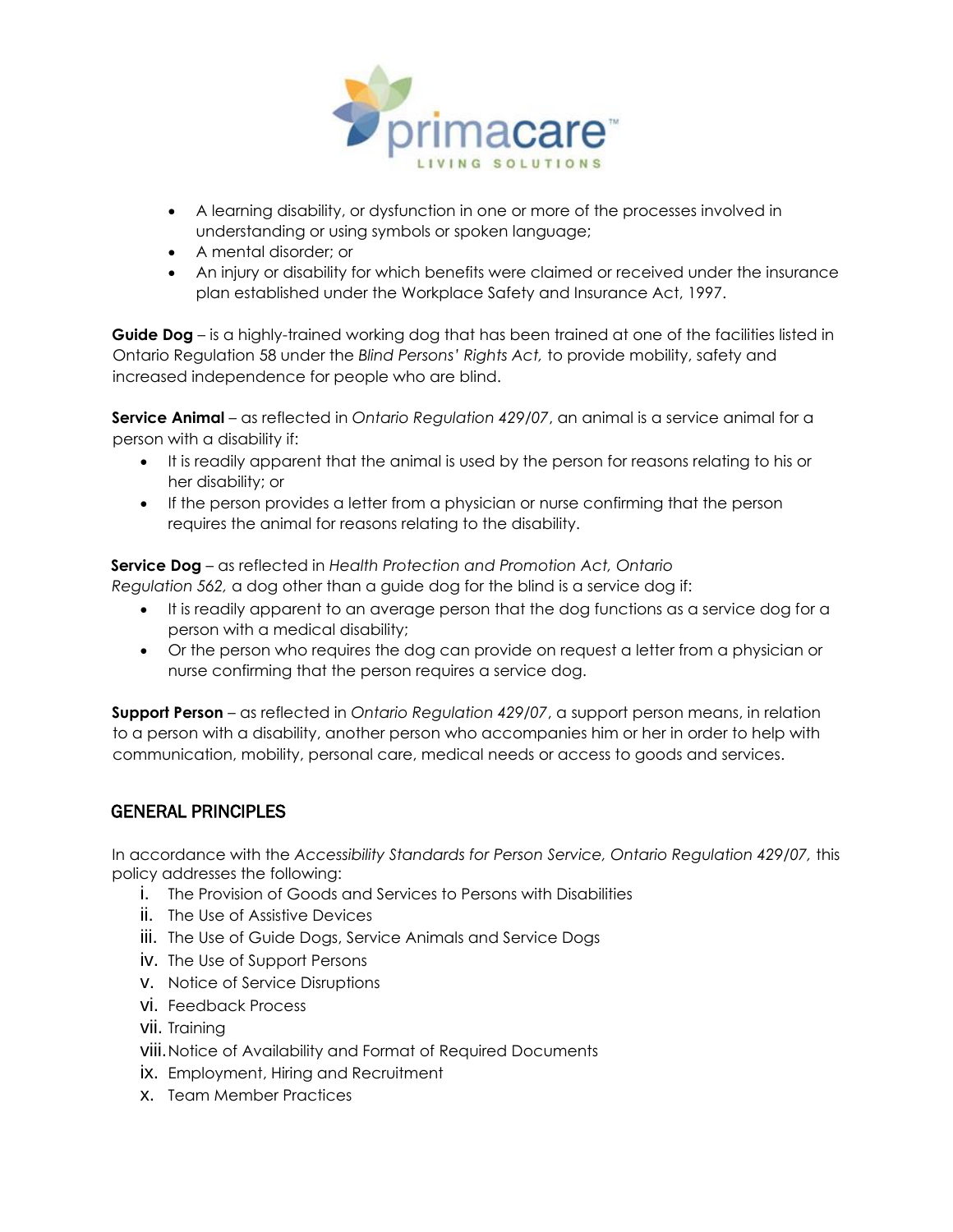

- A learning disability, or dysfunction in one or more of the processes involved in understanding or using symbols or spoken language;
- A mental disorder; or
- An injury or disability for which benefits were claimed or received under the insurance plan established under the Workplace Safety and Insurance Act, 1997.

**Guide Dog** – is a highly-trained working dog that has been trained at one of the facilities listed in Ontario Regulation 58 under the *Blind Persons' Rights Act,* to provide mobility, safety and increased independence for people who are blind.

**Service Animal** – as reflected in *Ontario Regulation 429/07*, an animal is a service animal for a person with a disability if:

- It is readily apparent that the animal is used by the person for reasons relating to his or her disability; or
- If the person provides a letter from a physician or nurse confirming that the person requires the animal for reasons relating to the disability.

**Service Dog** – as reflected in *Health Protection and Promotion Act, Ontario Regulation 562,* a dog other than a guide dog for the blind is a service dog if:

- It is readily apparent to an average person that the dog functions as a service dog for a person with a medical disability;
- Or the person who requires the dog can provide on request a letter from a physician or nurse confirming that the person requires a service dog.

**Support Person** – as reflected in *Ontario Regulation 429/07*, a support person means, in relation to a person with a disability, another person who accompanies him or her in order to help with communication, mobility, personal care, medical needs or access to goods and services.

# GENERAL PRINCIPLES

In accordance with the *Accessibility Standards for Person Service, Ontario Regulation 429/07,* this policy addresses the following:

- i. The Provision of Goods and Services to Persons with Disabilities
- ii. The Use of Assistive Devices
- iii. The Use of Guide Dogs, Service Animals and Service Dogs
- iv. The Use of Support Persons
- v. Notice of Service Disruptions
- vi. Feedback Process
- vii. Training
- viii.Notice of Availability and Format of Required Documents
- ix. Employment, Hiring and Recruitment
- x. Team Member Practices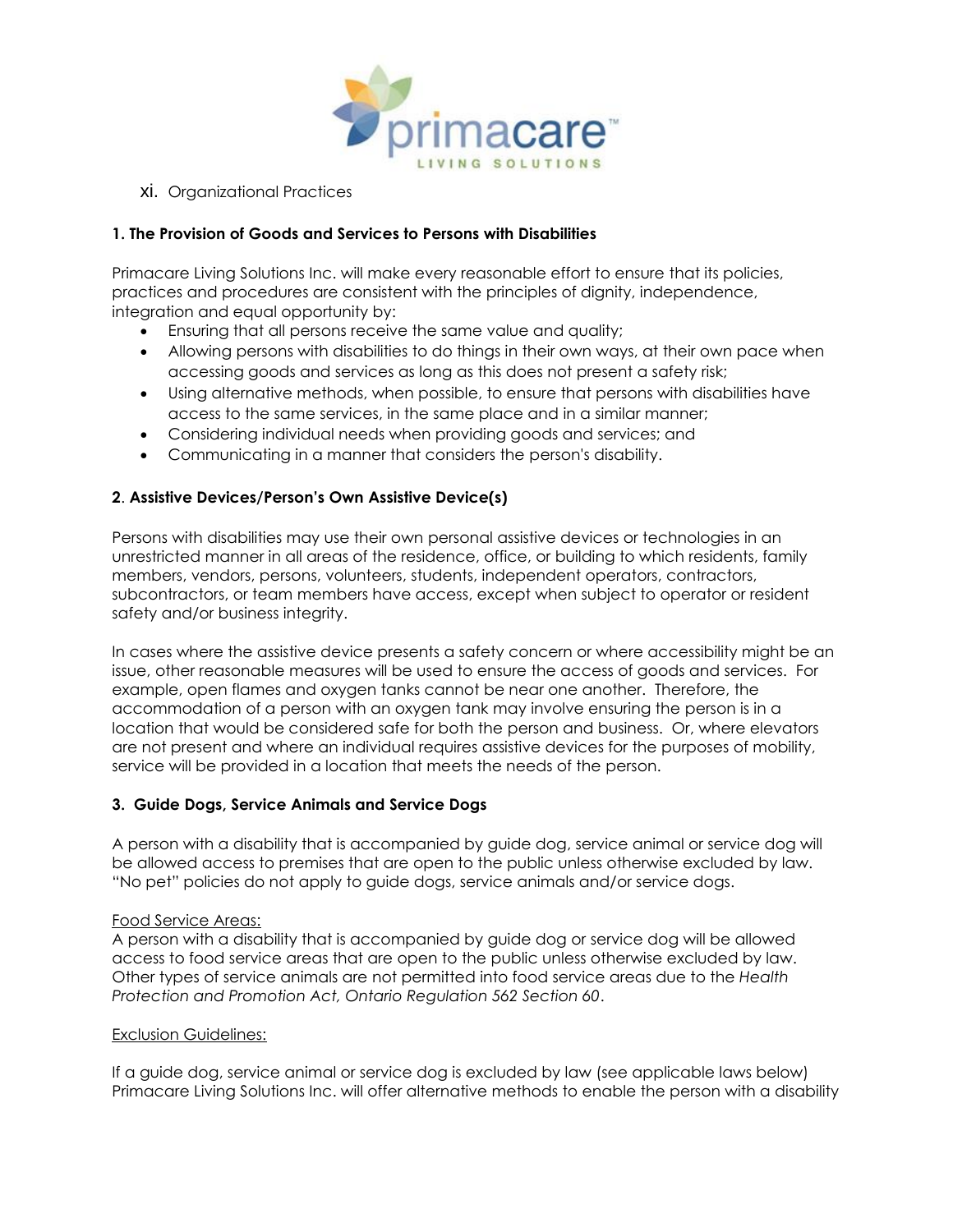

xi. Organizational Practices

### **1. The Provision of Goods and Services to Persons with Disabilities**

Primacare Living Solutions Inc. will make every reasonable effort to ensure that its policies, practices and procedures are consistent with the principles of dignity, independence, integration and equal opportunity by:

- Ensuring that all persons receive the same value and quality;
- Allowing persons with disabilities to do things in their own ways, at their own pace when accessing goods and services as long as this does not present a safety risk;
- Using alternative methods, when possible, to ensure that persons with disabilities have access to the same services, in the same place and in a similar manner;
- Considering individual needs when providing goods and services; and
- Communicating in a manner that considers the person's disability.

### **2**. **Assistive Devices/Person's Own Assistive Device(s)**

Persons with disabilities may use their own personal assistive devices or technologies in an unrestricted manner in all areas of the residence, office, or building to which residents, family members, vendors, persons, volunteers, students, independent operators, contractors, subcontractors, or team members have access, except when subject to operator or resident safety and/or business integrity.

In cases where the assistive device presents a safety concern or where accessibility might be an issue, other reasonable measures will be used to ensure the access of goods and services. For example, open flames and oxygen tanks cannot be near one another. Therefore, the accommodation of a person with an oxygen tank may involve ensuring the person is in a location that would be considered safe for both the person and business. Or, where elevators are not present and where an individual requires assistive devices for the purposes of mobility, service will be provided in a location that meets the needs of the person.

#### **3. Guide Dogs, Service Animals and Service Dogs**

A person with a disability that is accompanied by guide dog, service animal or service dog will be allowed access to premises that are open to the public unless otherwise excluded by law. "No pet" policies do not apply to guide dogs, service animals and/or service dogs.

#### Food Service Areas:

A person with a disability that is accompanied by guide dog or service dog will be allowed access to food service areas that are open to the public unless otherwise excluded by law. Other types of service animals are not permitted into food service areas due to the *Health Protection and Promotion Act, Ontario Regulation 562 Section 60*.

#### Exclusion Guidelines:

If a guide dog, service animal or service dog is excluded by law (see applicable laws below) Primacare Living Solutions Inc. will offer alternative methods to enable the person with a disability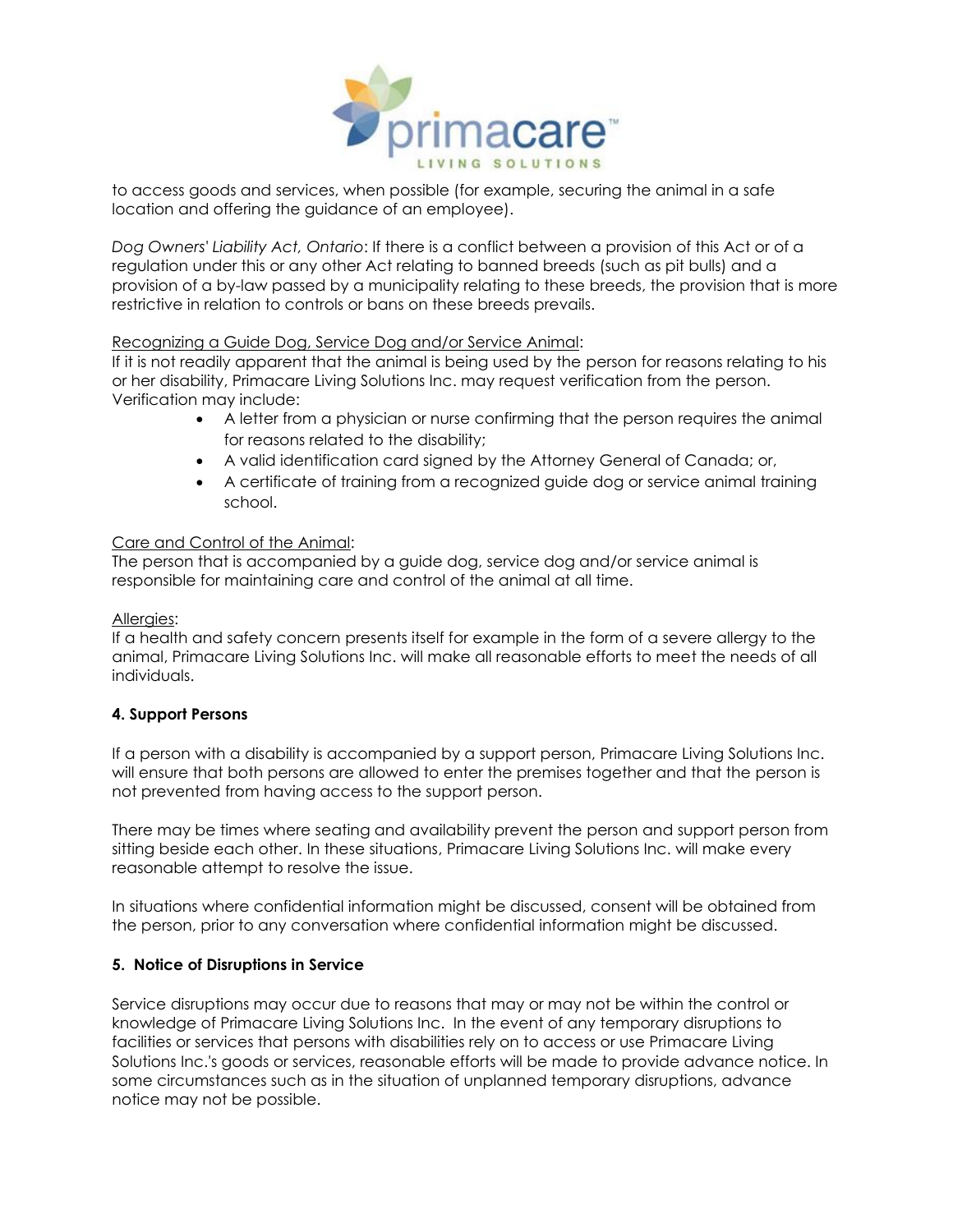

to access goods and services, when possible (for example, securing the animal in a safe location and offering the guidance of an employee).

*Dog Owners' Liability Act, Ontario*: If there is a conflict between a provision of this Act or of a regulation under this or any other Act relating to banned breeds (such as pit bulls) and a provision of a by-law passed by a municipality relating to these breeds, the provision that is more restrictive in relation to controls or bans on these breeds prevails.

#### Recognizing a Guide Dog, Service Dog and/or Service Animal:

If it is not readily apparent that the animal is being used by the person for reasons relating to his or her disability, Primacare Living Solutions Inc. may request verification from the person. Verification may include:

- A letter from a physician or nurse confirming that the person requires the animal for reasons related to the disability;
- A valid identification card signed by the Attorney General of Canada; or,
- A certificate of training from a recognized guide dog or service animal training school.

#### Care and Control of the Animal:

The person that is accompanied by a guide dog, service dog and/or service animal is responsible for maintaining care and control of the animal at all time.

#### Allergies:

If a health and safety concern presents itself for example in the form of a severe allergy to the animal, Primacare Living Solutions Inc. will make all reasonable efforts to meet the needs of all individuals.

#### **4. Support Persons**

If a person with a disability is accompanied by a support person, Primacare Living Solutions Inc. will ensure that both persons are allowed to enter the premises together and that the person is not prevented from having access to the support person.

There may be times where seating and availability prevent the person and support person from sitting beside each other. In these situations, Primacare Living Solutions Inc. will make every reasonable attempt to resolve the issue.

In situations where confidential information might be discussed, consent will be obtained from the person, prior to any conversation where confidential information might be discussed.

#### **5. Notice of Disruptions in Service**

Service disruptions may occur due to reasons that may or may not be within the control or knowledge of Primacare Living Solutions Inc. In the event of any temporary disruptions to facilities or services that persons with disabilities rely on to access or use Primacare Living Solutions Inc.'s goods or services, reasonable efforts will be made to provide advance notice. In some circumstances such as in the situation of unplanned temporary disruptions, advance notice may not be possible.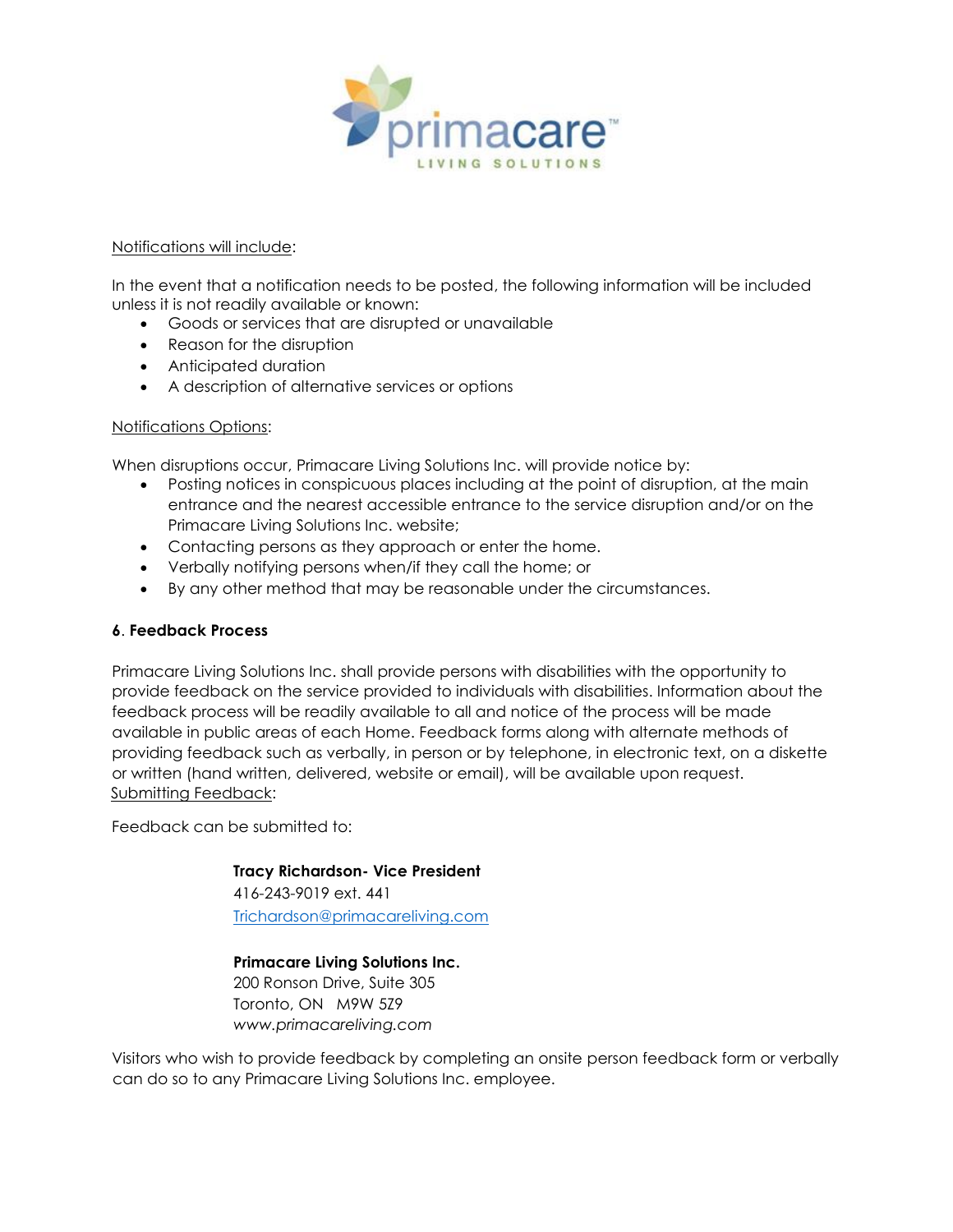

#### Notifications will include:

In the event that a notification needs to be posted, the following information will be included unless it is not readily available or known:

- Goods or services that are disrupted or unavailable
- Reason for the disruption
- Anticipated duration
- A description of alternative services or options

#### Notifications Options:

When disruptions occur, Primacare Living Solutions Inc. will provide notice by:

- Posting notices in conspicuous places including at the point of disruption, at the main entrance and the nearest accessible entrance to the service disruption and/or on the Primacare Living Solutions Inc. website;
- Contacting persons as they approach or enter the home.
- Verbally notifying persons when/if they call the home; or
- By any other method that may be reasonable under the circumstances.

#### **6**. **Feedback Process**

Primacare Living Solutions Inc. shall provide persons with disabilities with the opportunity to provide feedback on the service provided to individuals with disabilities. Information about the feedback process will be readily available to all and notice of the process will be made available in public areas of each Home. Feedback forms along with alternate methods of providing feedback such as verbally, in person or by telephone, in electronic text, on a diskette or written (hand written, delivered, website or email), will be available upon request. Submitting Feedback:

Feedback can be submitted to:

**Tracy Richardson- Vice President** 416-243-9019 ext. 441 [Trichardson@primacareliving.com](mailto:Trichardson@primacareliving.com)

**Primacare Living Solutions Inc.**  200 Ronson Drive, Suite 305 Toronto, ON M9W 5Z9 *www.primacareliving.com* 

Visitors who wish to provide feedback by completing an onsite person feedback form or verbally can do so to any Primacare Living Solutions Inc. employee.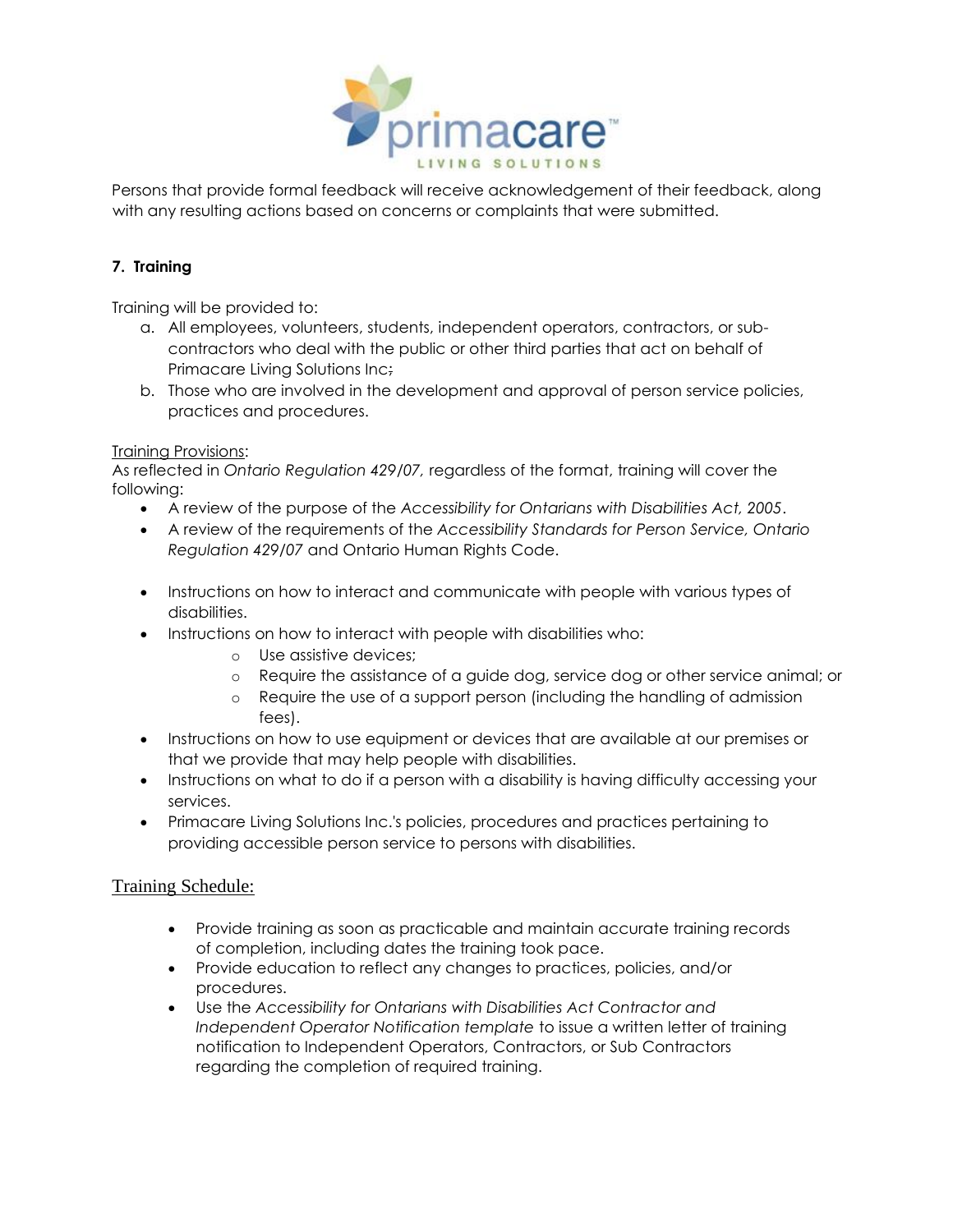

Persons that provide formal feedback will receive acknowledgement of their feedback, along with any resulting actions based on concerns or complaints that were submitted.

## **7. Training**

Training will be provided to:

- a. All employees, volunteers, students, independent operators, contractors, or subcontractors who deal with the public or other third parties that act on behalf of Primacare Living Solutions Inc;
- b. Those who are involved in the development and approval of person service policies, practices and procedures.

### Training Provisions:

As reflected in *Ontario Regulation 429/07,* regardless of the format, training will cover the following:

- A review of the purpose of the *Accessibility for Ontarians with Disabilities Act, 2005*.
- A review of the requirements of the *Accessibility Standards for Person Service, Ontario Regulation 429/07* and Ontario Human Rights Code.
- Instructions on how to interact and communicate with people with various types of disabilities.
- Instructions on how to interact with people with disabilities who:
	- o Use assistive devices;
	- o Require the assistance of a guide dog, service dog or other service animal; or
	- o Require the use of a support person (including the handling of admission fees).
- Instructions on how to use equipment or devices that are available at our premises or that we provide that may help people with disabilities.
- Instructions on what to do if a person with a disability is having difficulty accessing your services.
- Primacare Living Solutions Inc.'s policies, procedures and practices pertaining to providing accessible person service to persons with disabilities.

## Training Schedule:

- Provide training as soon as practicable and maintain accurate training records of completion, including dates the training took pace.
- Provide education to reflect any changes to practices, policies, and/or procedures.
- Use the *Accessibility for Ontarians with Disabilities Act Contractor and Independent Operator Notification template* to issue a written letter of training notification to Independent Operators, Contractors, or Sub Contractors regarding the completion of required training.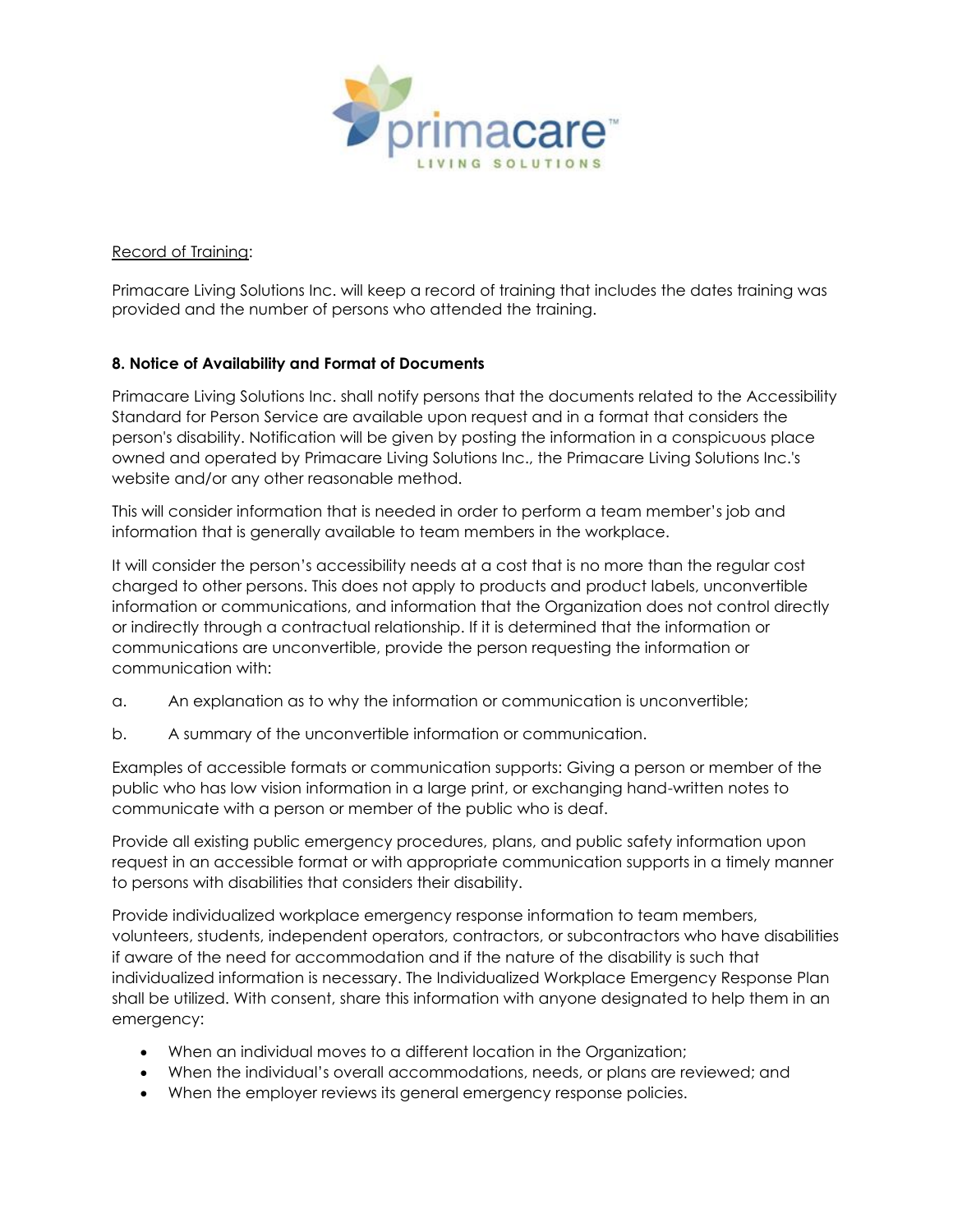

Record of Training:

Primacare Living Solutions Inc. will keep a record of training that includes the dates training was provided and the number of persons who attended the training.

## **8. Notice of Availability and Format of Documents**

Primacare Living Solutions Inc. shall notify persons that the documents related to the Accessibility Standard for Person Service are available upon request and in a format that considers the person's disability. Notification will be given by posting the information in a conspicuous place owned and operated by Primacare Living Solutions Inc., the Primacare Living Solutions Inc.'s website and/or any other reasonable method.

This will consider information that is needed in order to perform a team member's job and information that is generally available to team members in the workplace.

It will consider the person's accessibility needs at a cost that is no more than the regular cost charged to other persons. This does not apply to products and product labels, unconvertible information or communications, and information that the Organization does not control directly or indirectly through a contractual relationship. If it is determined that the information or communications are unconvertible, provide the person requesting the information or communication with:

- a. An explanation as to why the information or communication is unconvertible;
- b. A summary of the unconvertible information or communication.

Examples of accessible formats or communication supports: Giving a person or member of the public who has low vision information in a large print, or exchanging hand-written notes to communicate with a person or member of the public who is deaf.

Provide all existing public emergency procedures, plans, and public safety information upon request in an accessible format or with appropriate communication supports in a timely manner to persons with disabilities that considers their disability.

Provide individualized workplace emergency response information to team members, volunteers, students, independent operators, contractors, or subcontractors who have disabilities if aware of the need for accommodation and if the nature of the disability is such that individualized information is necessary. The Individualized Workplace Emergency Response Plan shall be utilized. With consent, share this information with anyone designated to help them in an emergency:

- When an individual moves to a different location in the Organization;
- When the individual's overall accommodations, needs, or plans are reviewed; and
- When the employer reviews its general emergency response policies.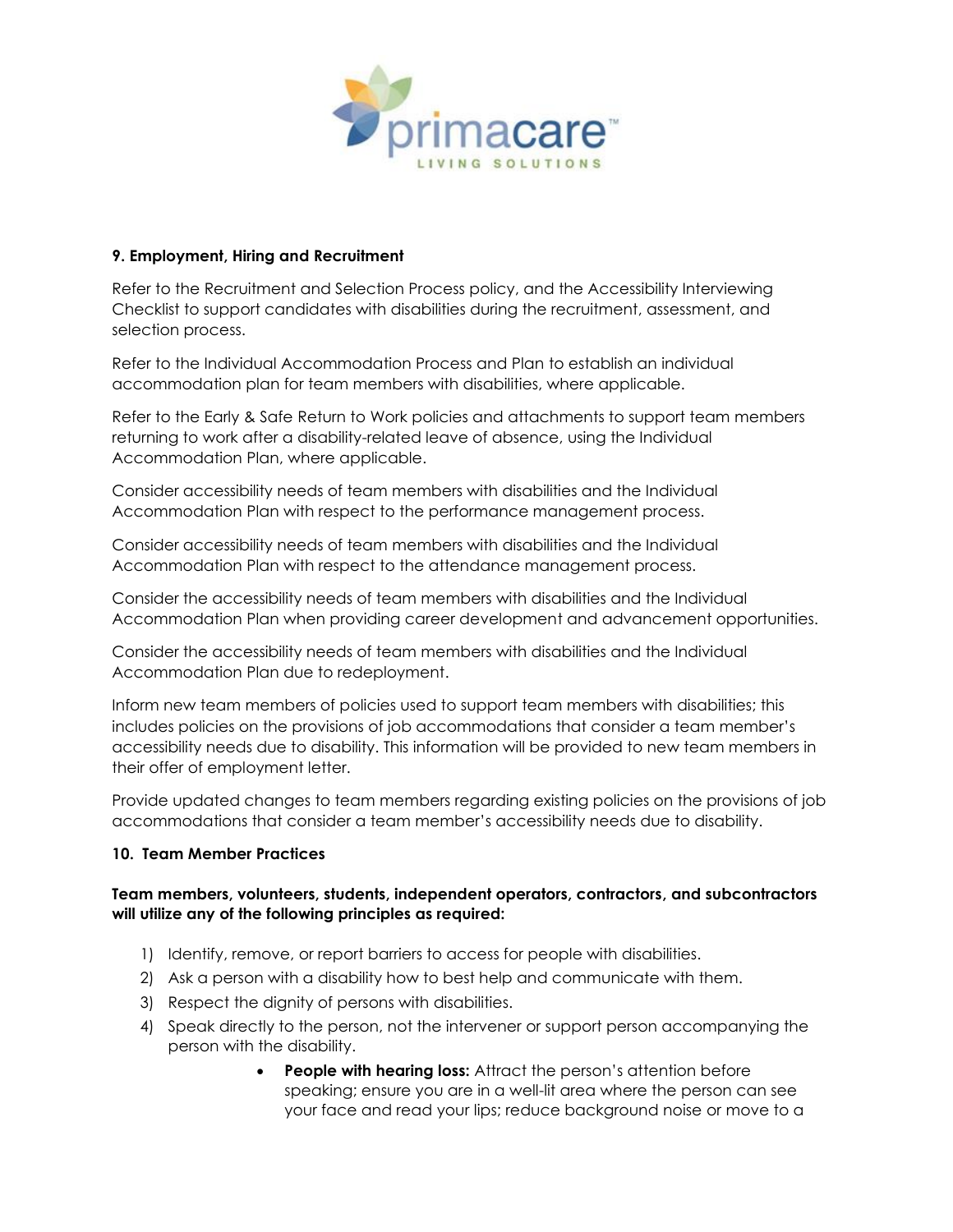

#### **9. Employment, Hiring and Recruitment**

Refer to the Recruitment and Selection Process policy, and the Accessibility Interviewing Checklist to support candidates with disabilities during the recruitment, assessment, and selection process.

Refer to the Individual Accommodation Process and Plan to establish an individual accommodation plan for team members with disabilities, where applicable.

Refer to the Early & Safe Return to Work policies and attachments to support team members returning to work after a disability-related leave of absence, using the Individual Accommodation Plan, where applicable.

Consider accessibility needs of team members with disabilities and the Individual Accommodation Plan with respect to the performance management process.

Consider accessibility needs of team members with disabilities and the Individual Accommodation Plan with respect to the attendance management process.

Consider the accessibility needs of team members with disabilities and the Individual Accommodation Plan when providing career development and advancement opportunities.

Consider the accessibility needs of team members with disabilities and the Individual Accommodation Plan due to redeployment.

Inform new team members of policies used to support team members with disabilities; this includes policies on the provisions of job accommodations that consider a team member's accessibility needs due to disability. This information will be provided to new team members in their offer of employment letter.

Provide updated changes to team members regarding existing policies on the provisions of job accommodations that consider a team member's accessibility needs due to disability.

#### **10. Team Member Practices**

### **Team members, volunteers, students, independent operators, contractors, and subcontractors will utilize any of the following principles as required:**

- 1) Identify, remove, or report barriers to access for people with disabilities.
- 2) Ask a person with a disability how to best help and communicate with them.
- 3) Respect the dignity of persons with disabilities.
- 4) Speak directly to the person, not the intervener or support person accompanying the person with the disability.
	- **People with hearing loss:** Attract the person's attention before speaking; ensure you are in a well-lit area where the person can see your face and read your lips; reduce background noise or move to a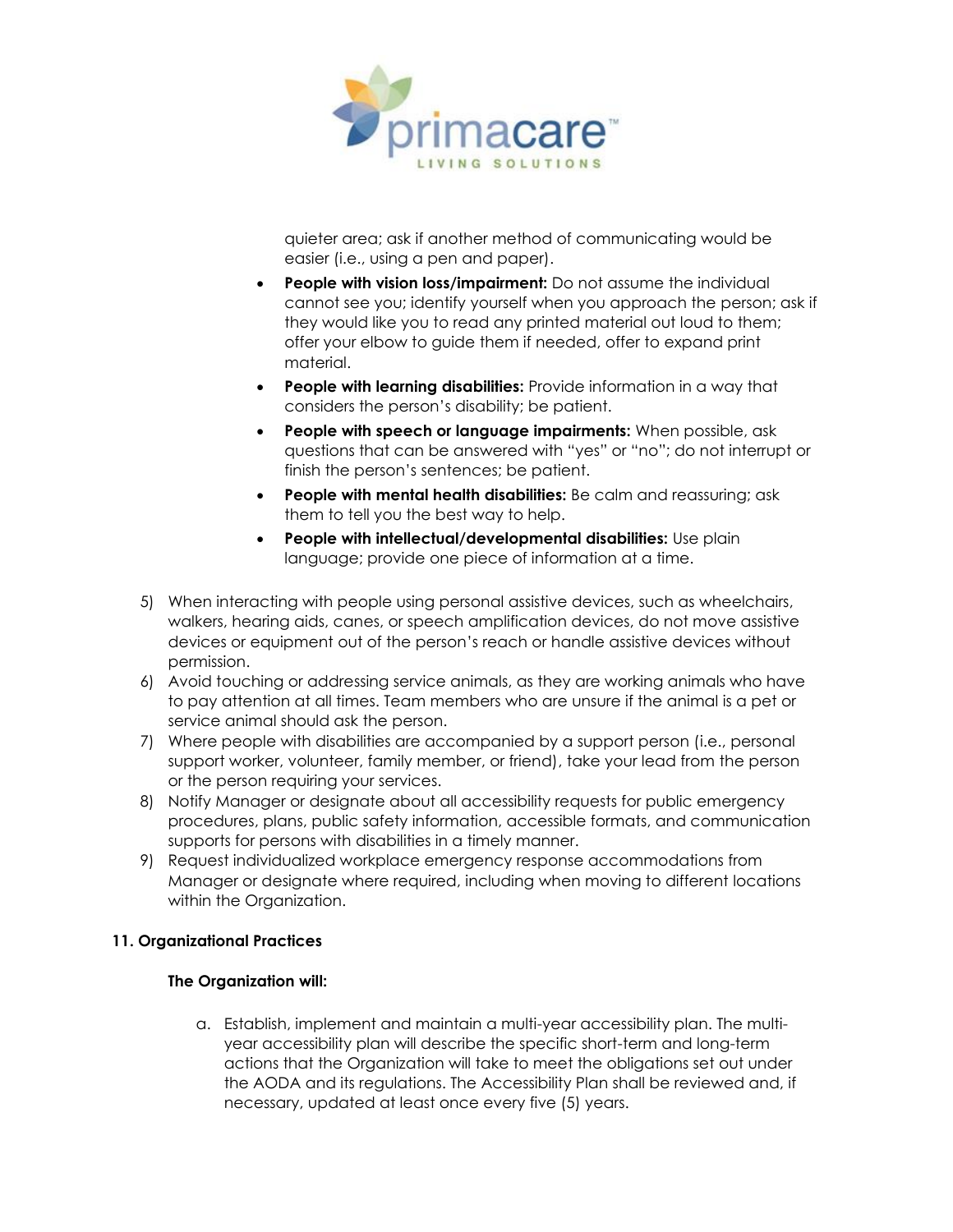

quieter area; ask if another method of communicating would be easier (i.e., using a pen and paper).

- **People with vision loss/impairment:** Do not assume the individual cannot see you; identify yourself when you approach the person; ask if they would like you to read any printed material out loud to them; offer your elbow to guide them if needed, offer to expand print material.
- **People with learning disabilities:** Provide information in a way that considers the person's disability; be patient.
- **People with speech or language impairments:** When possible, ask questions that can be answered with "yes" or "no"; do not interrupt or finish the person's sentences; be patient.
- **People with mental health disabilities:** Be calm and reassuring; ask them to tell you the best way to help.
- **People with intellectual/developmental disabilities:** Use plain language; provide one piece of information at a time.
- 5) When interacting with people using personal assistive devices, such as wheelchairs, walkers, hearing aids, canes, or speech amplification devices, do not move assistive devices or equipment out of the person's reach or handle assistive devices without permission.
- 6) Avoid touching or addressing service animals, as they are working animals who have to pay attention at all times. Team members who are unsure if the animal is a pet or service animal should ask the person.
- 7) Where people with disabilities are accompanied by a support person (i.e., personal support worker, volunteer, family member, or friend), take your lead from the person or the person requiring your services.
- 8) Notify Manager or designate about all accessibility requests for public emergency procedures, plans, public safety information, accessible formats, and communication supports for persons with disabilities in a timely manner.
- 9) Request individualized workplace emergency response accommodations from Manager or designate where required, including when moving to different locations within the Organization.

## **11. Organizational Practices**

#### **The Organization will:**

a. Establish, implement and maintain a multi-year accessibility plan. The multiyear accessibility plan will describe the specific short-term and long-term actions that the Organization will take to meet the obligations set out under the AODA and its regulations. The Accessibility Plan shall be reviewed and, if necessary, updated at least once every five (5) years.